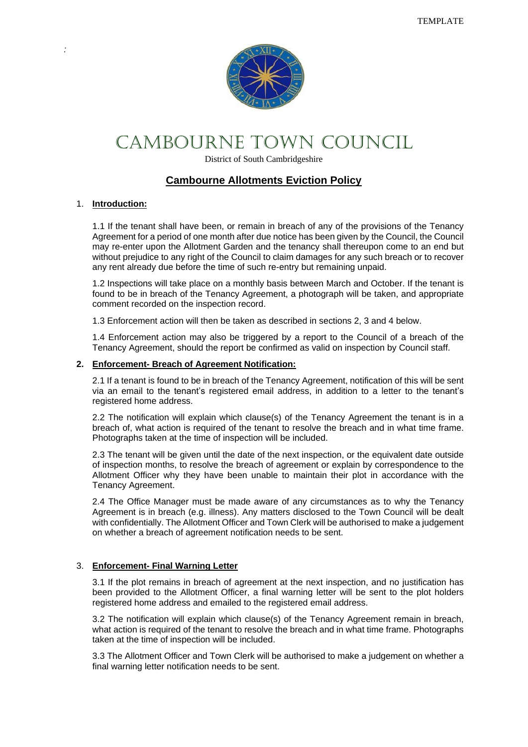

# CAMBOURNE TOWN COUNCIL

District of South Cambridgeshire

# **Cambourne Allotments Eviction Policy**

#### 1. **Introduction:**

1.1 If the tenant shall have been, or remain in breach of any of the provisions of the Tenancy Agreement for a period of one month after due notice has been given by the Council, the Council may re-enter upon the Allotment Garden and the tenancy shall thereupon come to an end but without prejudice to any right of the Council to claim damages for any such breach or to recover any rent already due before the time of such re-entry but remaining unpaid.

1.2 Inspections will take place on a monthly basis between March and October. If the tenant is found to be in breach of the Tenancy Agreement, a photograph will be taken, and appropriate comment recorded on the inspection record.

1.3 Enforcement action will then be taken as described in sections 2, 3 and 4 below.

1.4 Enforcement action may also be triggered by a report to the Council of a breach of the Tenancy Agreement, should the report be confirmed as valid on inspection by Council staff.

#### **2. Enforcement- Breach of Agreement Notification:**

2.1 If a tenant is found to be in breach of the Tenancy Agreement, notification of this will be sent via an email to the tenant's registered email address, in addition to a letter to the tenant's registered home address.

2.2 The notification will explain which clause(s) of the Tenancy Agreement the tenant is in a breach of, what action is required of the tenant to resolve the breach and in what time frame. Photographs taken at the time of inspection will be included.

2.3 The tenant will be given until the date of the next inspection, or the equivalent date outside of inspection months, to resolve the breach of agreement or explain by correspondence to the Allotment Officer why they have been unable to maintain their plot in accordance with the Tenancy Agreement.

2.4 The Office Manager must be made aware of any circumstances as to why the Tenancy Agreement is in breach (e.g. illness). Any matters disclosed to the Town Council will be dealt with confidentially. The Allotment Officer and Town Clerk will be authorised to make a judgement on whether a breach of agreement notification needs to be sent.

### 3. **Enforcement- Final Warning Letter**

3.1 If the plot remains in breach of agreement at the next inspection, and no justification has been provided to the Allotment Officer, a final warning letter will be sent to the plot holders registered home address and emailed to the registered email address.

3.2 The notification will explain which clause(s) of the Tenancy Agreement remain in breach, what action is required of the tenant to resolve the breach and in what time frame. Photographs taken at the time of inspection will be included.

3.3 The Allotment Officer and Town Clerk will be authorised to make a judgement on whether a final warning letter notification needs to be sent.